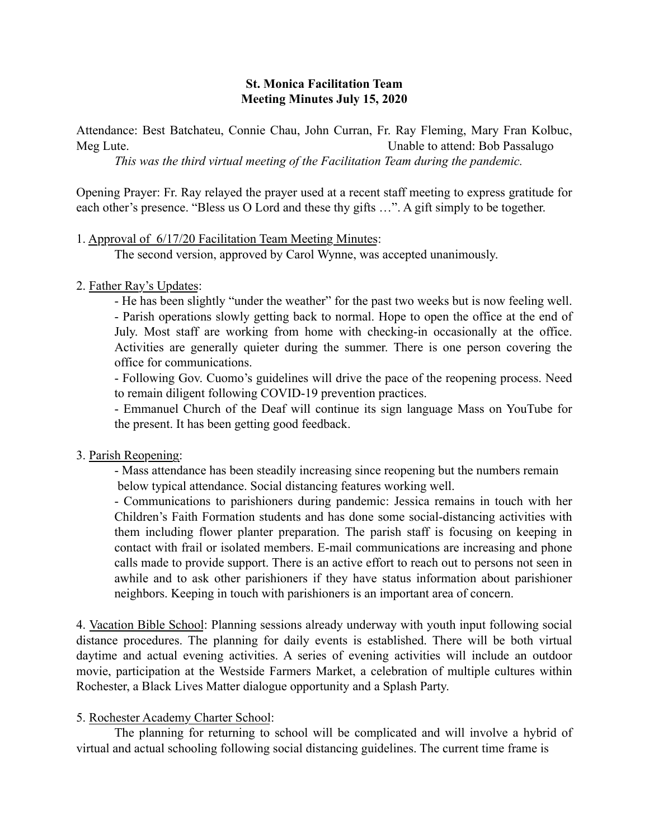### St. Monica Facilitation Team Meeting Minutes July 15, 2020

Attendance: Best Batchateu, Connie Chau, John Curran, Fr. Ray Fleming, Mary Fran Kolbuc, Meg Lute. Unable to attend: Bob Passalugo

*This was the third virtual meeting of the Facilitation Team during the pandemic.* 

Opening Prayer: Fr. Ray relayed the prayer used at a recent staff meeting to express gratitude for each other's presence. "Bless us O Lord and these thy gifts …". A gift simply to be together.

1. Approval of 6/17/20 Facilitation Team Meeting Minutes:

The second version, approved by Carol Wynne, was accepted unanimously.

2. Father Ray's Updates:

- He has been slightly "under the weather" for the past two weeks but is now feeling well. - Parish operations slowly getting back to normal. Hope to open the office at the end of July. Most staff are working from home with checking-in occasionally at the office. Activities are generally quieter during the summer. There is one person covering the office for communications.

- Following Gov. Cuomo's guidelines will drive the pace of the reopening process. Need to remain diligent following COVID-19 prevention practices.

- Emmanuel Church of the Deaf will continue its sign language Mass on YouTube for the present. It has been getting good feedback.

# 3. Parish Reopening:

- Mass attendance has been steadily increasing since reopening but the numbers remain below typical attendance. Social distancing features working well.

- Communications to parishioners during pandemic: Jessica remains in touch with her Children's Faith Formation students and has done some social-distancing activities with them including flower planter preparation. The parish staff is focusing on keeping in contact with frail or isolated members. E-mail communications are increasing and phone calls made to provide support. There is an active effort to reach out to persons not seen in awhile and to ask other parishioners if they have status information about parishioner neighbors. Keeping in touch with parishioners is an important area of concern.

4. Vacation Bible School: Planning sessions already underway with youth input following social distance procedures. The planning for daily events is established. There will be both virtual daytime and actual evening activities. A series of evening activities will include an outdoor movie, participation at the Westside Farmers Market, a celebration of multiple cultures within Rochester, a Black Lives Matter dialogue opportunity and a Splash Party.

# 5. Rochester Academy Charter School:

The planning for returning to school will be complicated and will involve a hybrid of virtual and actual schooling following social distancing guidelines. The current time frame is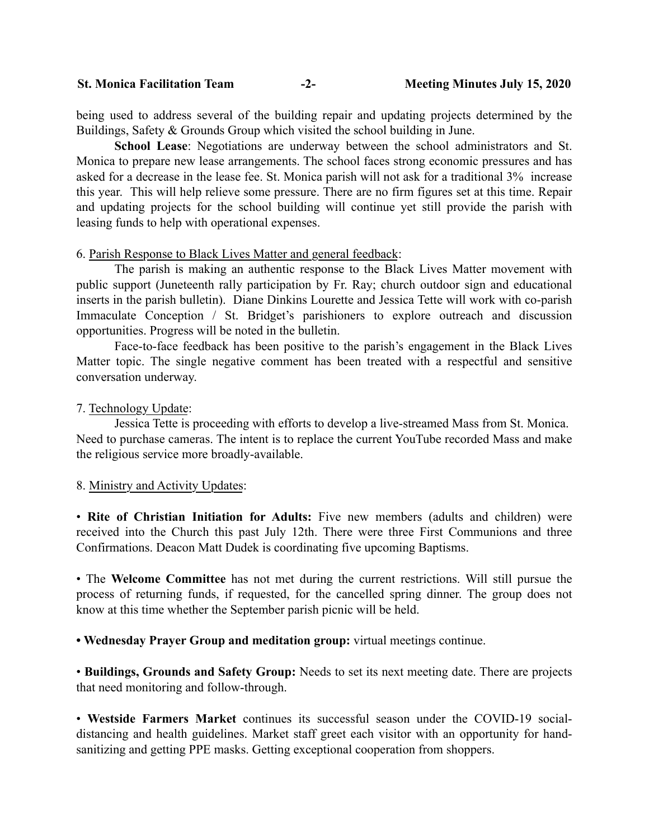St. Monica Facilitation Team -2- Meeting Minutes July 15, 2020

being used to address several of the building repair and updating projects determined by the Buildings, Safety & Grounds Group which visited the school building in June.

School Lease: Negotiations are underway between the school administrators and St. Monica to prepare new lease arrangements. The school faces strong economic pressures and has asked for a decrease in the lease fee. St. Monica parish will not ask for a traditional 3% increase this year. This will help relieve some pressure. There are no firm figures set at this time. Repair and updating projects for the school building will continue yet still provide the parish with leasing funds to help with operational expenses.

#### 6. Parish Response to Black Lives Matter and general feedback:

The parish is making an authentic response to the Black Lives Matter movement with public support (Juneteenth rally participation by Fr. Ray; church outdoor sign and educational inserts in the parish bulletin). Diane Dinkins Lourette and Jessica Tette will work with co-parish Immaculate Conception / St. Bridget's parishioners to explore outreach and discussion opportunities. Progress will be noted in the bulletin.

Face-to-face feedback has been positive to the parish's engagement in the Black Lives Matter topic. The single negative comment has been treated with a respectful and sensitive conversation underway.

7. Technology Update:

Jessica Tette is proceeding with efforts to develop a live-streamed Mass from St. Monica. Need to purchase cameras. The intent is to replace the current YouTube recorded Mass and make the religious service more broadly-available.

#### 8. Ministry and Activity Updates:

• Rite of Christian Initiation for Adults: Five new members (adults and children) were received into the Church this past July 12th. There were three First Communions and three Confirmations. Deacon Matt Dudek is coordinating five upcoming Baptisms.

• The Welcome Committee has not met during the current restrictions. Will still pursue the process of returning funds, if requested, for the cancelled spring dinner. The group does not know at this time whether the September parish picnic will be held.

• Wednesday Prayer Group and meditation group: virtual meetings continue.

• Buildings, Grounds and Safety Group: Needs to set its next meeting date. There are projects that need monitoring and follow-through.

• Westside Farmers Market continues its successful season under the COVID-19 socialdistancing and health guidelines. Market staff greet each visitor with an opportunity for handsanitizing and getting PPE masks. Getting exceptional cooperation from shoppers.